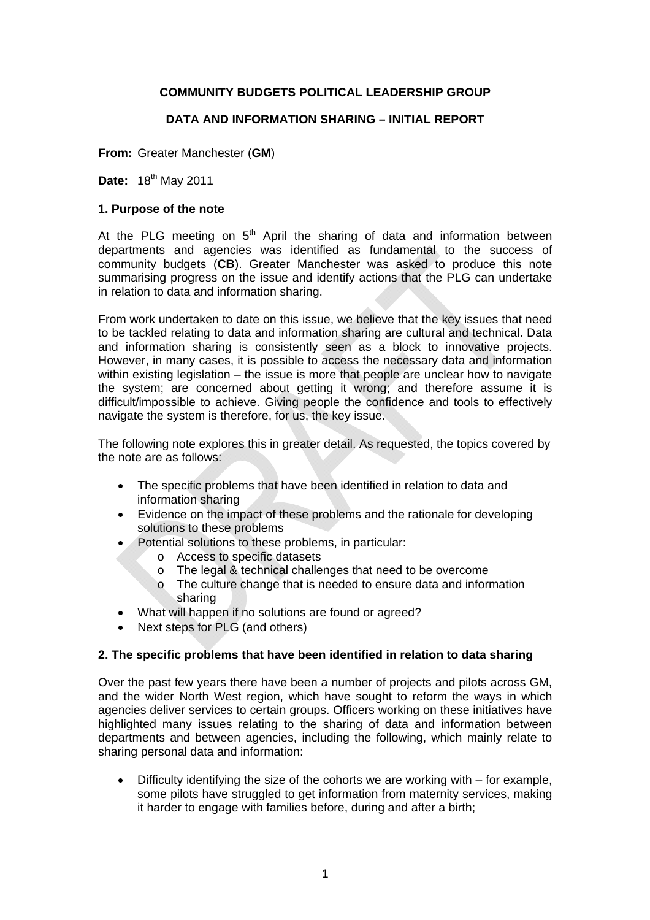# **COMMUNITY BUDGETS POLITICAL LEADERSHIP GROUP**

# **DATA AND INFORMATION SHARING – INITIAL REPORT**

**From:** Greater Manchester (**GM**)

**Date:** 18th May 2011

### **1. Purpose of the note**

At the PLG meeting on  $5<sup>th</sup>$  April the sharing of data and information between departments and agencies was identified as fundamental to the success of community budgets (**CB**). Greater Manchester was asked to produce this note summarising progress on the issue and identify actions that the PLG can undertake in relation to data and information sharing.

From work undertaken to date on this issue, we believe that the key issues that need to be tackled relating to data and information sharing are cultural and technical. Data and information sharing is consistently seen as a block to innovative projects. However, in many cases, it is possible to access the necessary data and information within existing legislation – the issue is more that people are unclear how to navigate the system; are concerned about getting it wrong; and therefore assume it is difficult/impossible to achieve. Giving people the confidence and tools to effectively navigate the system is therefore, for us, the key issue.

The following note explores this in greater detail. As requested, the topics covered by the note are as follows:

- The specific problems that have been identified in relation to data and information sharing
- Evidence on the impact of these problems and the rationale for developing solutions to these problems
- Potential solutions to these problems, in particular:
	- o Access to specific datasets
	- o The legal & technical challenges that need to be overcome
	- o The culture change that is needed to ensure data and information sharing
- What will happen if no solutions are found or agreed?
- Next steps for PLG (and others)

# **2. The specific problems that have been identified in relation to data sharing**

Over the past few years there have been a number of projects and pilots across GM, and the wider North West region, which have sought to reform the ways in which agencies deliver services to certain groups. Officers working on these initiatives have highlighted many issues relating to the sharing of data and information between departments and between agencies, including the following, which mainly relate to sharing personal data and information:

• Difficulty identifying the size of the cohorts we are working with – for example, some pilots have struggled to get information from maternity services, making it harder to engage with families before, during and after a birth;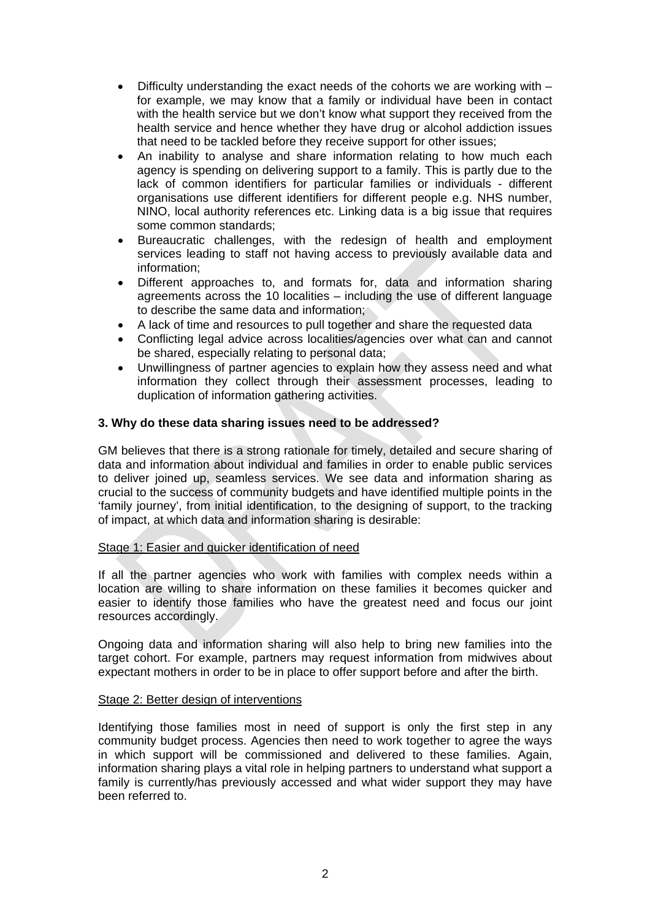- Difficulty understanding the exact needs of the cohorts we are working with for example, we may know that a family or individual have been in contact with the health service but we don't know what support they received from the health service and hence whether they have drug or alcohol addiction issues that need to be tackled before they receive support for other issues;
- An inability to analyse and share information relating to how much each agency is spending on delivering support to a family. This is partly due to the lack of common identifiers for particular families or individuals - different organisations use different identifiers for different people e.g. NHS number, NINO, local authority references etc. Linking data is a big issue that requires some common standards;
- Bureaucratic challenges, with the redesign of health and employment services leading to staff not having access to previously available data and information;
- Different approaches to, and formats for, data and information sharing agreements across the 10 localities – including the use of different language to describe the same data and information;
- A lack of time and resources to pull together and share the requested data
- Conflicting legal advice across localities/agencies over what can and cannot be shared, especially relating to personal data;
- Unwillingness of partner agencies to explain how they assess need and what information they collect through their assessment processes, leading to duplication of information gathering activities.

# **3. Why do these data sharing issues need to be addressed?**

GM believes that there is a strong rationale for timely, detailed and secure sharing of data and information about individual and families in order to enable public services to deliver joined up, seamless services. We see data and information sharing as crucial to the success of community budgets and have identified multiple points in the 'family journey', from initial identification, to the designing of support, to the tracking of impact, at which data and information sharing is desirable:

### Stage 1: Easier and quicker identification of need

If all the partner agencies who work with families with complex needs within a location are willing to share information on these families it becomes quicker and easier to identify those families who have the greatest need and focus our joint resources accordingly.

Ongoing data and information sharing will also help to bring new families into the target cohort. For example, partners may request information from midwives about expectant mothers in order to be in place to offer support before and after the birth.

### Stage 2: Better design of interventions

Identifying those families most in need of support is only the first step in any community budget process. Agencies then need to work together to agree the ways in which support will be commissioned and delivered to these families. Again, information sharing plays a vital role in helping partners to understand what support a family is currently/has previously accessed and what wider support they may have been referred to.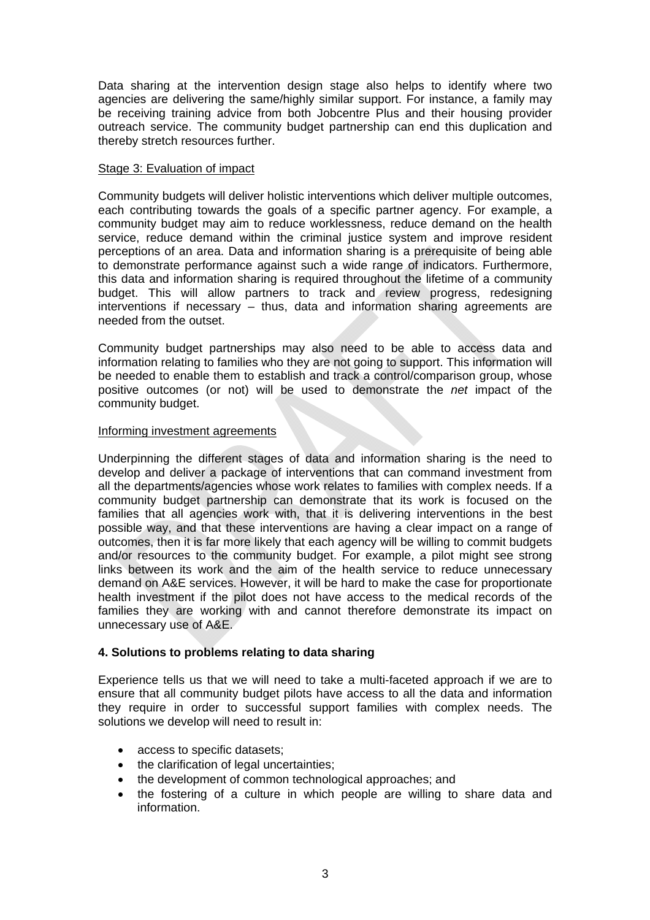Data sharing at the intervention design stage also helps to identify where two agencies are delivering the same/highly similar support. For instance, a family may be receiving training advice from both Jobcentre Plus and their housing provider outreach service. The community budget partnership can end this duplication and thereby stretch resources further.

### Stage 3: Evaluation of impact

Community budgets will deliver holistic interventions which deliver multiple outcomes, each contributing towards the goals of a specific partner agency. For example, a community budget may aim to reduce worklessness, reduce demand on the health service, reduce demand within the criminal justice system and improve resident perceptions of an area. Data and information sharing is a prerequisite of being able to demonstrate performance against such a wide range of indicators. Furthermore, this data and information sharing is required throughout the lifetime of a community budget. This will allow partners to track and review progress, redesigning interventions if necessary – thus, data and information sharing agreements are needed from the outset.

Community budget partnerships may also need to be able to access data and information relating to families who they are not going to support. This information will be needed to enable them to establish and track a control/comparison group, whose positive outcomes (or not) will be used to demonstrate the *net* impact of the community budget.

### Informing investment agreements

Underpinning the different stages of data and information sharing is the need to develop and deliver a package of interventions that can command investment from all the departments/agencies whose work relates to families with complex needs. If a community budget partnership can demonstrate that its work is focused on the families that all agencies work with, that it is delivering interventions in the best possible way, and that these interventions are having a clear impact on a range of outcomes, then it is far more likely that each agency will be willing to commit budgets and/or resources to the community budget. For example, a pilot might see strong links between its work and the aim of the health service to reduce unnecessary demand on A&E services. However, it will be hard to make the case for proportionate health investment if the pilot does not have access to the medical records of the families they are working with and cannot therefore demonstrate its impact on unnecessary use of A&E.

# **4. Solutions to problems relating to data sharing**

Experience tells us that we will need to take a multi-faceted approach if we are to ensure that all community budget pilots have access to all the data and information they require in order to successful support families with complex needs. The solutions we develop will need to result in:

- access to specific datasets;
- the clarification of legal uncertainties:
- the development of common technological approaches; and
- the fostering of a culture in which people are willing to share data and information.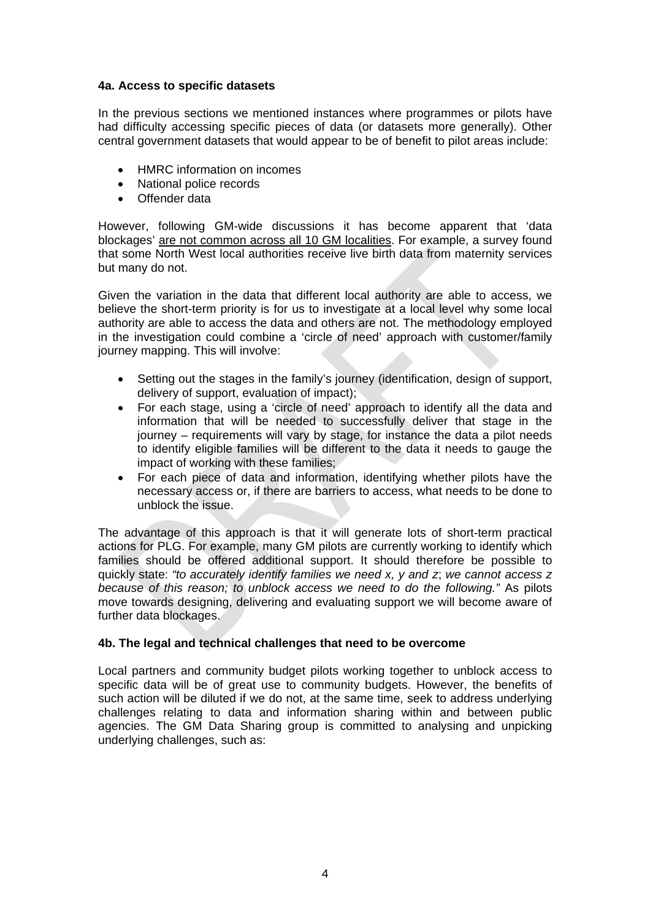## **4a. Access to specific datasets**

In the previous sections we mentioned instances where programmes or pilots have had difficulty accessing specific pieces of data (or datasets more generally). Other central government datasets that would appear to be of benefit to pilot areas include:

- HMRC information on incomes
- National police records
- Offender data

However, following GM-wide discussions it has become apparent that 'data blockages' are not common across all 10 GM localities. For example, a survey found that some North West local authorities receive live birth data from maternity services but many do not.

Given the variation in the data that different local authority are able to access, we believe the short-term priority is for us to investigate at a local level why some local authority are able to access the data and others are not. The methodology employed in the investigation could combine a 'circle of need' approach with customer/family journey mapping. This will involve:

- Setting out the stages in the family's journey (identification, design of support, delivery of support, evaluation of impact);
- For each stage, using a 'circle of need' approach to identify all the data and information that will be needed to successfully deliver that stage in the journey – requirements will vary by stage, for instance the data a pilot needs to identify eligible families will be different to the data it needs to gauge the impact of working with these families;
- For each piece of data and information, identifying whether pilots have the necessary access or, if there are barriers to access, what needs to be done to unblock the issue.

The advantage of this approach is that it will generate lots of short-term practical actions for PLG. For example, many GM pilots are currently working to identify which families should be offered additional support. It should therefore be possible to quickly state: *"to accurately identify families we need x, y and z*; *we cannot access z because of this reason; to unblock access we need to do the following."* As pilots move towards designing, delivering and evaluating support we will become aware of further data blockages.

# **4b. The legal and technical challenges that need to be overcome**

Local partners and community budget pilots working together to unblock access to specific data will be of great use to community budgets. However, the benefits of such action will be diluted if we do not, at the same time, seek to address underlying challenges relating to data and information sharing within and between public agencies. The GM Data Sharing group is committed to analysing and unpicking underlying challenges, such as: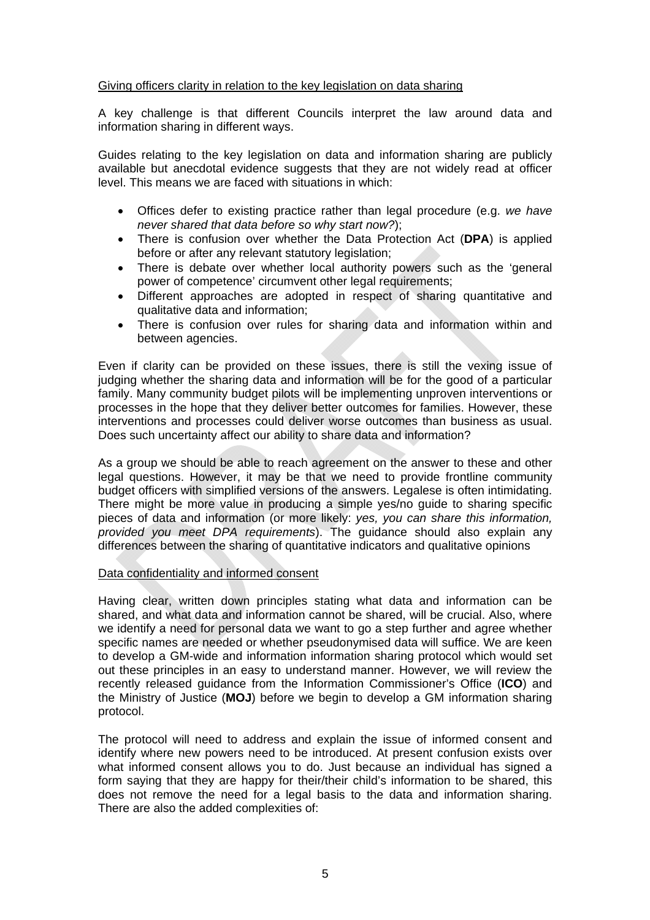### Giving officers clarity in relation to the key legislation on data sharing

A key challenge is that different Councils interpret the law around data and information sharing in different ways.

Guides relating to the key legislation on data and information sharing are publicly available but anecdotal evidence suggests that they are not widely read at officer level. This means we are faced with situations in which:

- Offices defer to existing practice rather than legal procedure (e.g. *we have never shared that data before so why start now?*);
- There is confusion over whether the Data Protection Act (**DPA**) is applied before or after any relevant statutory legislation;
- There is debate over whether local authority powers such as the 'general power of competence' circumvent other legal requirements;
- Different approaches are adopted in respect of sharing quantitative and qualitative data and information;
- There is confusion over rules for sharing data and information within and between agencies.

Even if clarity can be provided on these issues, there is still the vexing issue of judging whether the sharing data and information will be for the good of a particular family. Many community budget pilots will be implementing unproven interventions or processes in the hope that they deliver better outcomes for families. However, these interventions and processes could deliver worse outcomes than business as usual. Does such uncertainty affect our ability to share data and information?

As a group we should be able to reach agreement on the answer to these and other legal questions. However, it may be that we need to provide frontline community budget officers with simplified versions of the answers. Legalese is often intimidating. There might be more value in producing a simple yes/no guide to sharing specific pieces of data and information (or more likely: *yes, you can share this information, provided you meet DPA requirements*). The guidance should also explain any differences between the sharing of quantitative indicators and qualitative opinions

### Data confidentiality and informed consent

Having clear, written down principles stating what data and information can be shared, and what data and information cannot be shared, will be crucial. Also, where we identify a need for personal data we want to go a step further and agree whether specific names are needed or whether pseudonymised data will suffice. We are keen to develop a GM-wide and information information sharing protocol which would set out these principles in an easy to understand manner. However, we will review the recently released guidance from the Information Commissioner's Office (**ICO**) and the Ministry of Justice (**MOJ**) before we begin to develop a GM information sharing protocol.

The protocol will need to address and explain the issue of informed consent and identify where new powers need to be introduced. At present confusion exists over what informed consent allows you to do. Just because an individual has signed a form saying that they are happy for their/their child's information to be shared, this does not remove the need for a legal basis to the data and information sharing. There are also the added complexities of: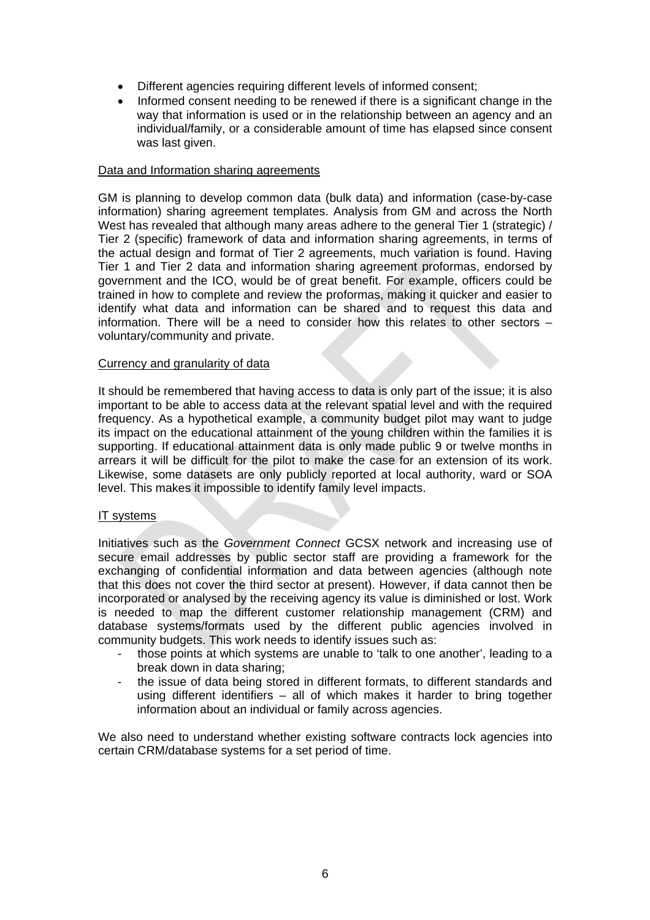- Different agencies requiring different levels of informed consent;
- Informed consent needing to be renewed if there is a significant change in the way that information is used or in the relationship between an agency and an individual/family, or a considerable amount of time has elapsed since consent was last given.

### Data and Information sharing agreements

GM is planning to develop common data (bulk data) and information (case-by-case information) sharing agreement templates. Analysis from GM and across the North West has revealed that although many areas adhere to the general Tier 1 (strategic) / Tier 2 (specific) framework of data and information sharing agreements, in terms of the actual design and format of Tier 2 agreements, much variation is found. Having Tier 1 and Tier 2 data and information sharing agreement proformas, endorsed by government and the ICO, would be of great benefit. For example, officers could be trained in how to complete and review the proformas, making it quicker and easier to identify what data and information can be shared and to request this data and information. There will be a need to consider how this relates to other sectors – voluntary/community and private.

### Currency and granularity of data

It should be remembered that having access to data is only part of the issue; it is also important to be able to access data at the relevant spatial level and with the required frequency. As a hypothetical example, a community budget pilot may want to judge its impact on the educational attainment of the young children within the families it is supporting. If educational attainment data is only made public 9 or twelve months in arrears it will be difficult for the pilot to make the case for an extension of its work. Likewise, some datasets are only publicly reported at local authority, ward or SOA level. This makes it impossible to identify family level impacts.

### IT systems

Initiatives such as the *Government Connect* GCSX network and increasing use of secure email addresses by public sector staff are providing a framework for the exchanging of confidential information and data between agencies (although note that this does not cover the third sector at present). However, if data cannot then be incorporated or analysed by the receiving agency its value is diminished or lost. Work is needed to map the different customer relationship management (CRM) and database systems/formats used by the different public agencies involved in community budgets. This work needs to identify issues such as:

- those points at which systems are unable to 'talk to one another', leading to a break down in data sharing;
- the issue of data being stored in different formats, to different standards and using different identifiers – all of which makes it harder to bring together information about an individual or family across agencies.

We also need to understand whether existing software contracts lock agencies into certain CRM/database systems for a set period of time.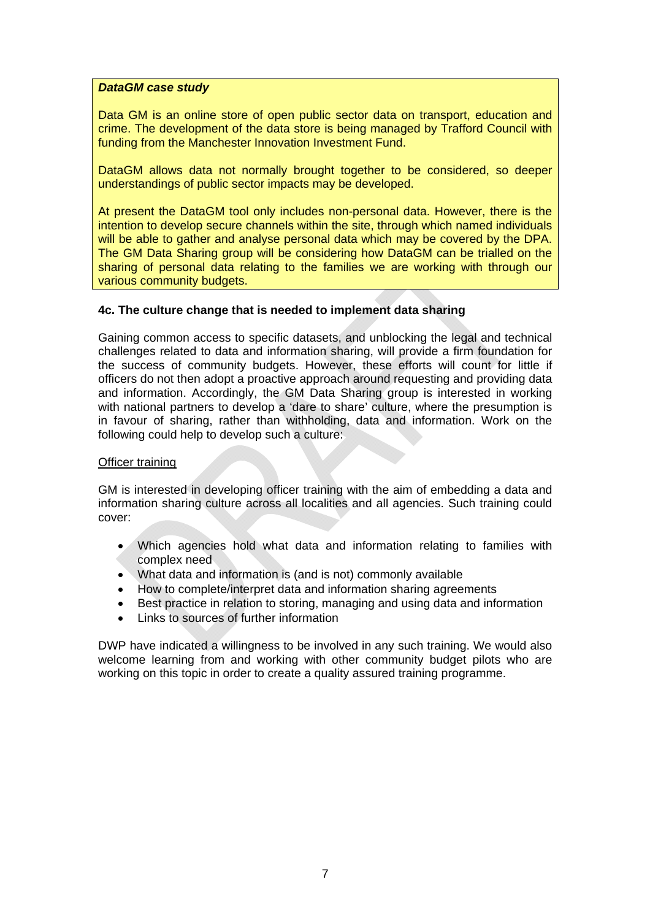### *DataGM case study*

Data GM is an online store of open public sector data on transport, education and crime. The development of the data store is being managed by Trafford Council with funding from the Manchester Innovation Investment Fund.

DataGM allows data not normally brought together to be considered, so deeper understandings of public sector impacts may be developed.

At present the DataGM tool only includes non-personal data. However, there is the intention to develop secure channels within the site, through which named individuals will be able to gather and analyse personal data which may be covered by the DPA. The GM Data Sharing group will be considering how DataGM can be trialled on the sharing of personal data relating to the families we are working with through our various community budgets.

### **4c. The culture change that is needed to implement data sharing**

Gaining common access to specific datasets, and unblocking the legal and technical challenges related to data and information sharing, will provide a firm foundation for the success of community budgets. However, these efforts will count for little if officers do not then adopt a proactive approach around requesting and providing data and information. Accordingly, the GM Data Sharing group is interested in working with national partners to develop a 'dare to share' culture, where the presumption is in favour of sharing, rather than withholding, data and information. Work on the following could help to develop such a culture:

### Officer training

GM is interested in developing officer training with the aim of embedding a data and information sharing culture across all localities and all agencies. Such training could cover:

- Which agencies hold what data and information relating to families with complex need
- What data and information is (and is not) commonly available
- How to complete/interpret data and information sharing agreements
- Best practice in relation to storing, managing and using data and information
- Links to sources of further information

DWP have indicated a willingness to be involved in any such training. We would also welcome learning from and working with other community budget pilots who are working on this topic in order to create a quality assured training programme.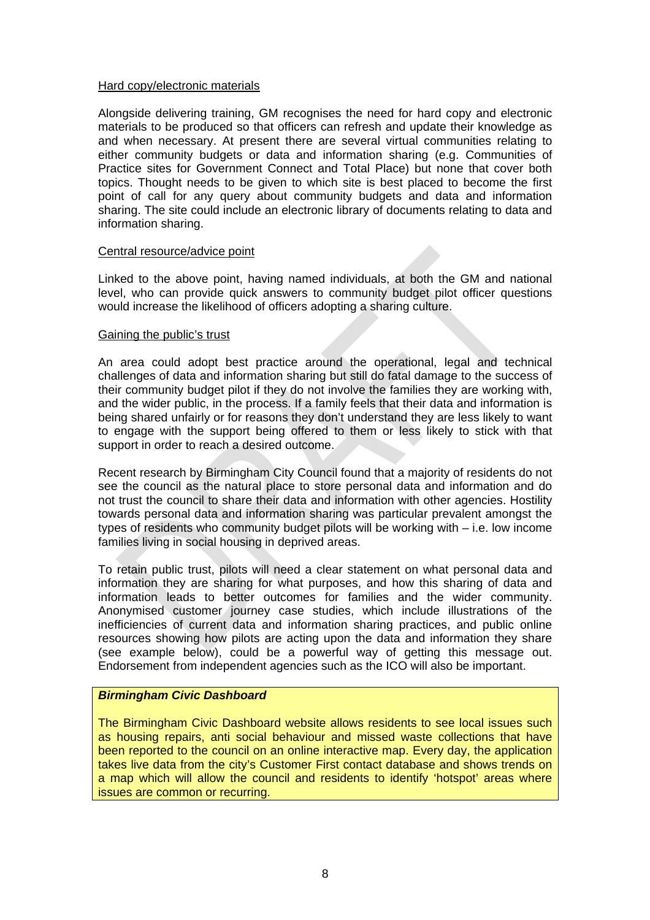### Hard copy/electronic materials

Alongside delivering training, GM recognises the need for hard copy and electronic materials to be produced so that officers can refresh and update their knowledge as and when necessary. At present there are several virtual communities relating to either community budgets or data and information sharing (e.g. Communities of Practice sites for Government Connect and Total Place) but none that cover both topics. Thought needs to be given to which site is best placed to become the first point of call for any query about community budgets and data and information sharing. The site could include an electronic library of documents relating to data and information sharing.

#### Central resource/advice point

Linked to the above point, having named individuals, at both the GM and national level, who can provide quick answers to community budget pilot officer questions would increase the likelihood of officers adopting a sharing culture.

#### Gaining the public's trust

An area could adopt best practice around the operational, legal and technical challenges of data and information sharing but still do fatal damage to the success of their community budget pilot if they do not involve the families they are working with, and the wider public, in the process. If a family feels that their data and information is being shared unfairly or for reasons they don't understand they are less likely to want to engage with the support being offered to them or less likely to stick with that support in order to reach a desired outcome.

Recent research by Birmingham City Council found that a majority of residents do not see the council as the natural place to store personal data and information and do not trust the council to share their data and information with other agencies. Hostility towards personal data and information sharing was particular prevalent amongst the types of residents who community budget pilots will be working with – i.e. low income families living in social housing in deprived areas.

To retain public trust, pilots will need a clear statement on what personal data and information they are sharing for what purposes, and how this sharing of data and information leads to better outcomes for families and the wider community. Anonymised customer journey case studies, which include illustrations of the inefficiencies of current data and information sharing practices, and public online resources showing how pilots are acting upon the data and information they share (see example below), could be a powerful way of getting this message out. Endorsement from independent agencies such as the ICO will also be important.

### *Birmingham Civic Dashboard*

The Birmingham Civic Dashboard website allows residents to see local issues such as housing repairs, anti social behaviour and missed waste collections that have been reported to the council on an online interactive map. Every day, the application takes live data from the city's Customer First contact database and shows trends on a map which will allow the council and residents to identify 'hotspot' areas where issues are common or recurring.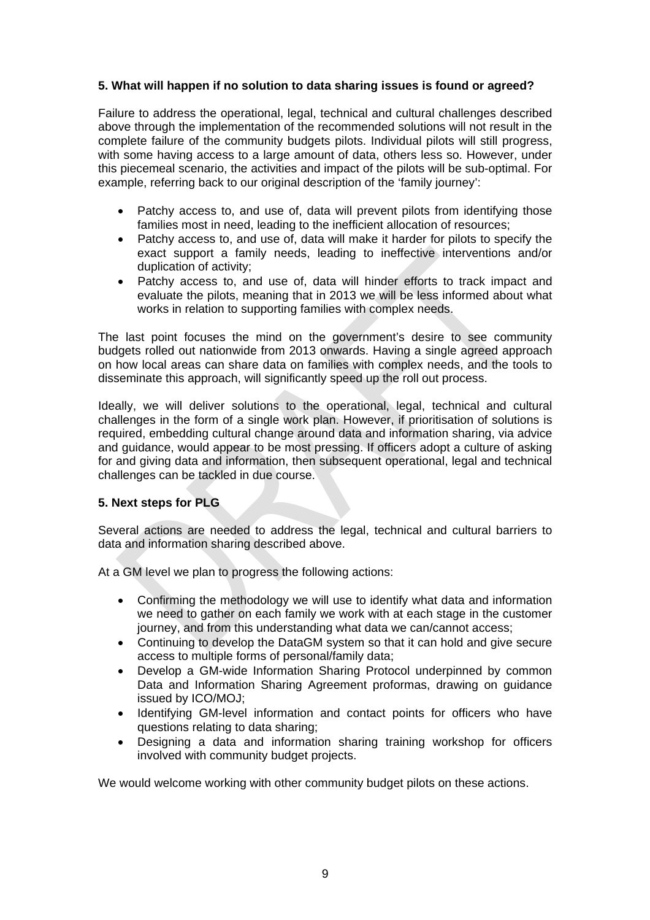# **5. What will happen if no solution to data sharing issues is found or agreed?**

Failure to address the operational, legal, technical and cultural challenges described above through the implementation of the recommended solutions will not result in the complete failure of the community budgets pilots. Individual pilots will still progress, with some having access to a large amount of data, others less so. However, under this piecemeal scenario, the activities and impact of the pilots will be sub-optimal. For example, referring back to our original description of the 'family journey':

- Patchy access to, and use of, data will prevent pilots from identifying those families most in need, leading to the inefficient allocation of resources;
- Patchy access to, and use of, data will make it harder for pilots to specify the exact support a family needs, leading to ineffective interventions and/or duplication of activity;
- Patchy access to, and use of, data will hinder efforts to track impact and evaluate the pilots, meaning that in 2013 we will be less informed about what works in relation to supporting families with complex needs.

The last point focuses the mind on the government's desire to see community budgets rolled out nationwide from 2013 onwards. Having a single agreed approach on how local areas can share data on families with complex needs, and the tools to disseminate this approach, will significantly speed up the roll out process.

Ideally, we will deliver solutions to the operational, legal, technical and cultural challenges in the form of a single work plan. However, if prioritisation of solutions is required, embedding cultural change around data and information sharing, via advice and guidance, would appear to be most pressing. If officers adopt a culture of asking for and giving data and information, then subsequent operational, legal and technical challenges can be tackled in due course.

# **5. Next steps for PLG**

Several actions are needed to address the legal, technical and cultural barriers to data and information sharing described above.

At a GM level we plan to progress the following actions:

- Confirming the methodology we will use to identify what data and information we need to gather on each family we work with at each stage in the customer journey, and from this understanding what data we can/cannot access;
- Continuing to develop the DataGM system so that it can hold and give secure access to multiple forms of personal/family data;
- Develop a GM-wide Information Sharing Protocol underpinned by common Data and Information Sharing Agreement proformas, drawing on guidance issued by ICO/MOJ;
- Identifying GM-level information and contact points for officers who have questions relating to data sharing;
- Designing a data and information sharing training workshop for officers involved with community budget projects.

We would welcome working with other community budget pilots on these actions.